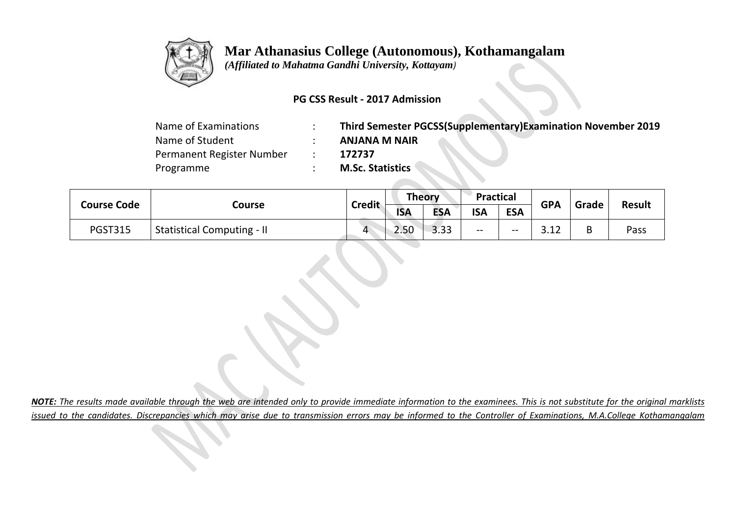

# **Mar Athanasius College (Autonomous), Kothamangalam**

 *(Affiliated to Mahatma Gandhi University, Kottayam)*

## **PG CSS Result - 2017 Admission**

| Name of Examinations      | Third Semester PGCSS(Supplementary)Examination November 2019 |
|---------------------------|--------------------------------------------------------------|
| Name of Student           | <b>ANJANA M NAIR</b>                                         |
| Permanent Register Number | 172737                                                       |
| Programme                 | <b>M.Sc. Statistics</b>                                      |

| <b>Course Code</b> | Course                            | <b>Credit</b> | <b>Theory</b> |            | <b>Practical</b> |            | <b>GPA</b>   | Grade | <b>Result</b> |
|--------------------|-----------------------------------|---------------|---------------|------------|------------------|------------|--------------|-------|---------------|
|                    |                                   |               | <b>ISA</b>    | <b>ESA</b> | <b>ISA</b>       | <b>ESA</b> |              |       |               |
| <b>PGST315</b>     | <b>Statistical Computing - II</b> | 4             | 2.50          | 3.33       | $- -$            | --         | າ າາ<br>つ・エム | B     | Pass          |

*NOTE: The results made available through the web are intended only to provide immediate information to the examinees. This is not substitute for the original marklists issued to the candidates. Discrepancies which may arise due to transmission errors may be informed to the Controller of Examinations, M.A.College Kothamangalam*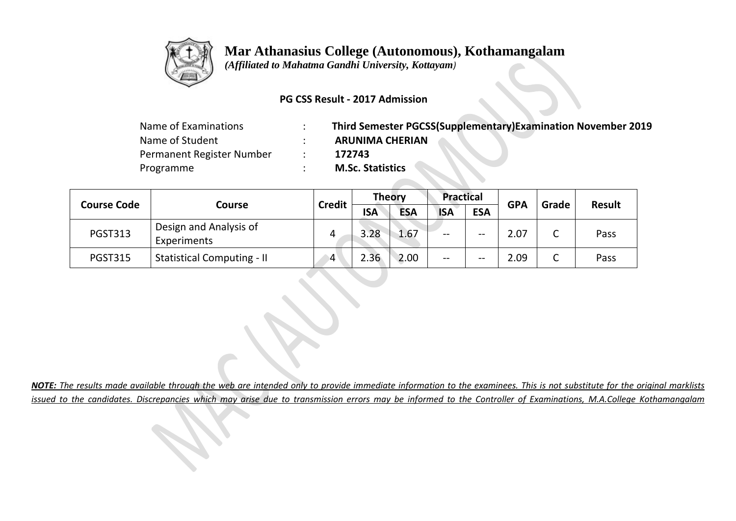

# **Mar Athanasius College (Autonomous), Kothamangalam**

 *(Affiliated to Mahatma Gandhi University, Kottayam)*

#### **PG CSS Result - 2017 Admission**

| Name of Examinations      | Third Semester PGCSS(Supplementary)Examination November 2019 |
|---------------------------|--------------------------------------------------------------|
| Name of Student           | <b>ARUNIMA CHERIAN</b>                                       |
| Permanent Register Number | 172743                                                       |
| Programme                 | <b>M.Sc. Statistics</b>                                      |

|                    | <b>Course</b>                         | <b>Credit</b> | <b>Theory</b> |            | <b>Practical</b> |            | <b>GPA</b> | Grade           | <b>Result</b> |
|--------------------|---------------------------------------|---------------|---------------|------------|------------------|------------|------------|-----------------|---------------|
| <b>Course Code</b> |                                       |               | <b>ISA</b>    | <b>ESA</b> | <b>ISA</b>       | <b>ESA</b> |            |                 |               |
| <b>PGST313</b>     | Design and Analysis of<br>Experiments |               | 3.28          | 1.67       | $- -$            | --         | 2.07       | $\sqrt{ }$<br>◡ | Pass          |
| <b>PGST315</b>     | <b>Statistical Computing - II</b>     | 4             | 2.36          | 2.00       | $- -$            | --         | 2.09       | C<br>֊          | Pass          |

*NOTE: The results made available through the web are intended only to provide immediate information to the examinees. This is not substitute for the original marklists issued to the candidates. Discrepancies which may arise due to transmission errors may be informed to the Controller of Examinations, M.A.College Kothamangalam*